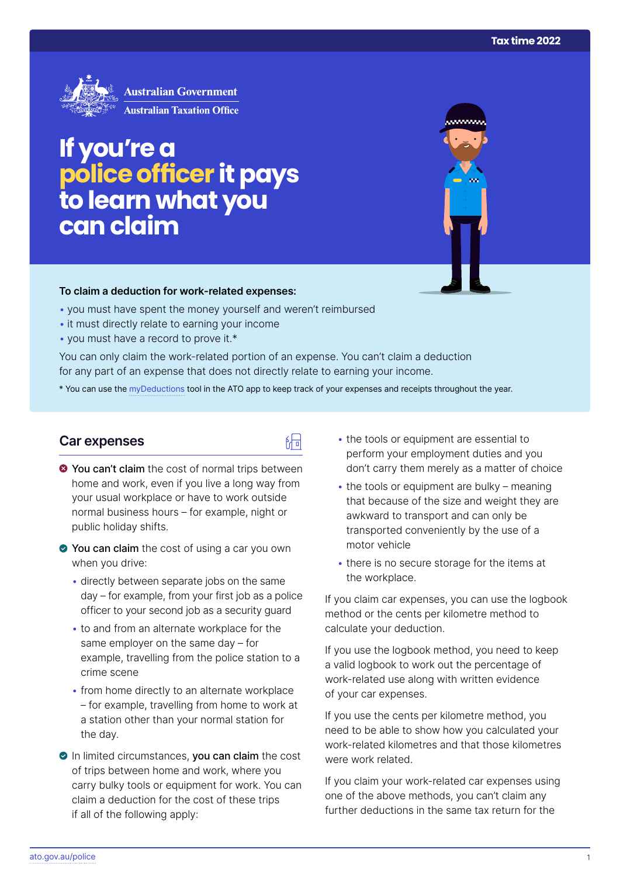<u>aanaan </u>



# **If you're a police officer it pays to learn what you can claim**

#### **To claim a deduction for work‑related expenses:**

- you must have spent the money yourself and weren't reimbursed
- it must directly relate to earning your income
- you must have a record to prove it.\*

You can only claim the work-related portion of an expense. You can't claim a deduction for any part of an expense that does not directly relate to earning your income.

\* You can use the [myDeductions](https://ato.gov.au/mydeductions) tool in the ATO app to keep track of your expenses and receipts throughout the year.

品

#### **Car expenses**

- $\bullet$  You can't claim the cost of normal trips between home and work, even if you live a long way from your usual workplace or have to work outside normal business hours – for example, night or public holiday shifts.
- ◆ You can claim the cost of using a car you own when you drive:
	- directly between separate jobs on the same day – for example, from your first job as a police officer to your second job as a security guard
	- to and from an alternate workplace for the same employer on the same day – for example, travelling from the police station to a crime scene
	- from home directly to an alternate workplace – for example, travelling from home to work at a station other than your normal station for the day.
- In limited circumstances, you can claim the cost of trips between home and work, where you carry bulky tools or equipment for work. You can claim a deduction for the cost of these trips if all of the following apply:
- the tools or equipment are essential to perform your employment duties and you don't carry them merely as a matter of choice
- $\cdot$  the tools or equipment are bulky meaning that because of the size and weight they are awkward to transport and can only be transported conveniently by the use of a motor vehicle
- there is no secure storage for the items at the workplace.

If you claim car expenses, you can use the logbook method or the cents per kilometre method to calculate your deduction.

If you use the logbook method, you need to keep a valid logbook to work out the percentage of work-related use along with written evidence of your car expenses.

If you use the cents per kilometre method, you need to be able to show how you calculated your work-related kilometres and that those kilometres were work related.

If you claim your work-related car expenses using one of the above methods, you can't claim any further deductions in the same tax return for the